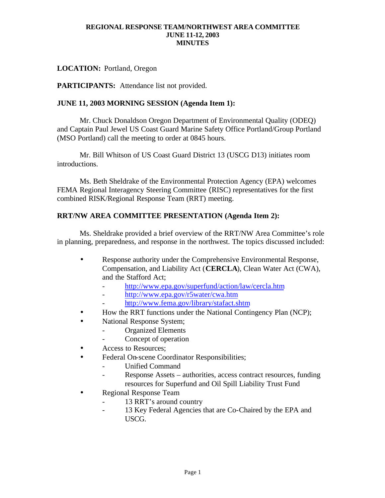# **LOCATION:** Portland, Oregon

**PARTICIPANTS:** Attendance list not provided.

### **JUNE 11, 2003 MORNING SESSION (Agenda Item 1):**

Mr. Chuck Donaldson Oregon Department of Environmental Quality (ODEQ) and Captain Paul Jewel US Coast Guard Marine Safety Office Portland/Group Portland (MSO Portland) call the meeting to order at 0845 hours.

Mr. Bill Whitson of US Coast Guard District 13 (USCG D13) initiates room introductions.

Ms. Beth Sheldrake of the Environmental Protection Agency (EPA) welcomes FEMA Regional Interagency Steering Committee (RISC) representatives for the first combined RISK/Regional Response Team (RRT) meeting.

# **RRT/NW AREA COMMITTEE PRESENTATION (Agenda Item 2):**

Ms. Sheldrake provided a brief overview of the RRT/NW Area Committee's role in planning, preparedness, and response in the northwest. The topics discussed included:

- Response authority under the Comprehensive Environmental Response, Compensation, and Liability Act (**CERCLA**), Clean Water Act (CWA), and the Stafford Act;
	- http://www.epa.gov/superfund/action/law/cercla.htm
	- http://www.epa.gov/r5water/cwa.htm
	- http://www.fema.gov/library/stafact.shtm
- How the RRT functions under the National Contingency Plan (NCP);
- National Response System;
	- Organized Elements
	- Concept of operation
- Access to Resources;
- Federal On-scene Coordinator Responsibilities;
	- Unified Command
	- Response Assets authorities, access contract resources, funding resources for Superfund and Oil Spill Liability Trust Fund
- Regional Response Team
	- 13 RRT's around country
	- 13 Key Federal Agencies that are Co-Chaired by the EPA and USCG.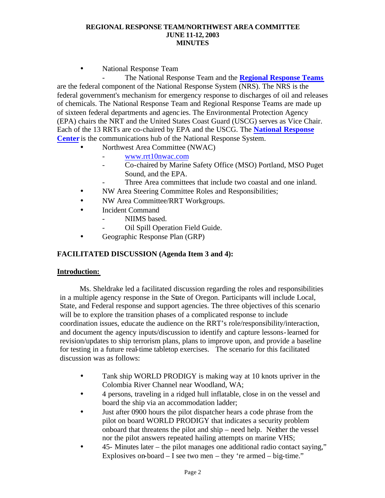• National Response Team

- The National Response Team and the **Regional Response Teams** are the federal component of the National Response System (NRS). The NRS is the federal government's mechanism for emergency response to discharges of oil and releases of chemicals. The National Response Team and Regional Response Teams are made up of sixteen federal departments and agenc ies. The Environmental Protection Agency (EPA) chairs the NRT and the United States Coast Guard (USCG) serves as Vice Chair. Each of the 13 RRTs are co-chaired by EPA and the USCG. The **National Response Center** is the communications hub of the National Response System.

- Northwest Area Committee (NWAC)
	- www.rrt10nwac.com
	- Co-chaired by Marine Safety Office (MSO) Portland, MSO Puget Sound, and the EPA.
		- Three Area committees that include two coastal and one inland.
- NW Area Steering Committee Roles and Responsibilities;
- NW Area Committee/RRT Workgroups.
- **Incident Command** 
	- NIIMS based.
	- Oil Spill Operation Field Guide.
- Geographic Response Plan (GRP)

# **FACILITATED DISCUSSION (Agenda Item 3 and 4):**

### **Introduction:**

Ms. Sheldrake led a facilitated discussion regarding the roles and responsibilities in a multiple agency response in the State of Oregon. Participants will include Local, State, and Federal response and support agencies. The three objectives of this scenario will be to explore the transition phases of a complicated response to include coordination issues, educate the audience on the RRT's role/responsibility/interaction, and document the agency inputs/discussion to identify and capture lessons-learned for revision/updates to ship terrorism plans, plans to improve upon, and provide a baseline for testing in a future real-time tabletop exercises. The scenario for this facilitated discussion was as follows:

- Tank ship WORLD PRODIGY is making way at 10 knots upriver in the Colombia River Channel near Woodland, WA;
- 4 persons, traveling in a ridged hull inflatable, close in on the vessel and board the ship via an accommodation ladder;
- Just after 0900 hours the pilot dispatcher hears a code phrase from the pilot on board WORLD PRODIGY that indicates a security problem onboard that threatens the pilot and ship – need help. Neither the vessel nor the pilot answers repeated hailing attempts on marine VHS;
- 45- Minutes later the pilot manages one additional radio contact saying," Explosives on-board  $- I$  see two men  $-$  they 're armed  $-$  big-time."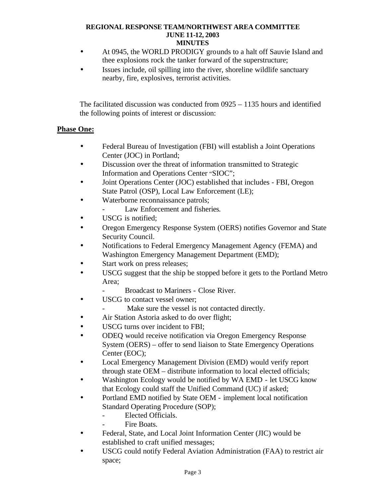- At 0945, the WORLD PRODIGY grounds to a halt off Sauvie Island and thee explosions rock the tanker forward of the superstructure;
- Issues include, oil spilling into the river, shoreline wildlife sanctuary nearby, fire, explosives, terrorist activities.

The facilitated discussion was conducted from 0925 – 1135 hours and identified the following points of interest or discussion:

# **Phase One:**

- Federal Bureau of Investigation (FBI) will establish a Joint Operations Center (JOC) in Portland;
- Discussion over the threat of information transmitted to Strategic Information and Operations Center "SIOC";
- Joint Operations Center (JOC) established that includes FBI, Oregon State Patrol (OSP), Local Law Enforcement (LE);
- Waterborne reconnaissance patrols;
	- Law Enforcement and fisheries.
- USCG is notified:
- Oregon Emergency Response System (OERS) notifies Governor and State Security Council.
- Notifications to Federal Emergency Management Agency (FEMA) and Washington Emergency Management Department (EMD);
- Start work on press releases;
- USCG suggest that the ship be stopped before it gets to the Portland Metro Area;
	- Broadcast to Mariners Close River.
- USCG to contact vessel owner:
	- Make sure the vessel is not contacted directly.
- Air Station Astoria asked to do over flight;
- USCG turns over incident to FBI;
- ODEQ would receive notification via Oregon Emergency Response System (OERS) – offer to send liaison to State Emergency Operations Center (EOC);
- Local Emergency Management Division (EMD) would verify report through state OEM – distribute information to local elected officials;
- Washington Ecology would be notified by WA EMD let USCG know that Ecology could staff the Unified Command (UC) if asked;
- Portland EMD notified by State OEM implement local notification Standard Operating Procedure (SOP);
	- Elected Officials.
		- Fire Boats.
- Federal, State, and Local Joint Information Center (JIC) would be established to craft unified messages;
- USCG could notify Federal Aviation Administration (FAA) to restrict air space;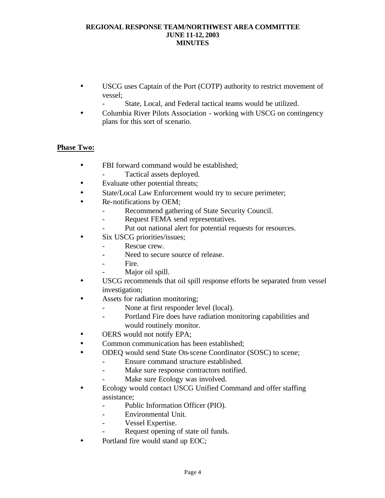- USCG uses Captain of the Port (COTP) authority to restrict movement of vessel;
	- State, Local, and Federal tactical teams would be utilized.
- Columbia River Pilots Association working with USCG on contingency plans for this sort of scenario.

# **Phase Two:**

- FBI forward command would be established;
- Tactical assets deployed.
- Evaluate other potential threats;
- State/Local Law Enforcement would try to secure perimeter;
- Re-notifications by OEM;
	- Recommend gathering of State Security Council.
	- Request FEMA send representatives.
	- Put out national alert for potential requests for resources.
- Six USCG priorities/issues;
	- Rescue crew.
		- Need to secure source of release.
		- Fire.
		- Major oil spill.
- USCG recommends that oil spill response efforts be separated from vessel investigation;
- Assets for radiation monitoring;
	- None at first responder level (local).
	- Portland Fire does have radiation monitoring capabilities and would routinely monitor.
- OERS would not notify EPA;
- Common communication has been established;
- ODEQ would send State On-scene Coordinator (SOSC) to scene;
	- Ensure command structure established.
	- Make sure response contractors notified.
	- Make sure Ecology was involved.
- Ecology would contact USCG Unified Command and offer staffing assistance;
	- Public Information Officer (PIO).
	- Environmental Unit.
	- Vessel Expertise.
	- Request opening of state oil funds.
- Portland fire would stand up EOC;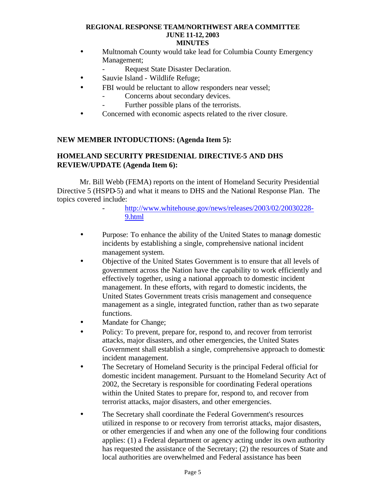- Multnomah County would take lead for Columbia County Emergency Management;
	- Request State Disaster Declaration.
- Sauvie Island Wildlife Refuge;
- FBI would be reluctant to allow responders near vessel:
	- Concerns about secondary devices.
		- Further possible plans of the terrorists.
- Concerned with economic aspects related to the river closure.

# **NEW MEMBER INTODUCTIONS: (Agenda Item 5):**

# **HOMELAND SECURITY PRESIDENIAL DIRECTIVE-5 AND DHS REVIEW/UPDATE (Agenda Item 6):**

Mr. Bill Webb (FEMA) reports on the intent of Homeland Security Presidential Directive 5 (HSPD-5) and what it means to DHS and the National Response Plan. The topics covered include:

- http://www.whitehouse.gov/news/releases/2003/02/20030228- 9.html
- Purpose: To enhance the ability of the United States to manage domestic incidents by establishing a single, comprehensive national incident management system.
- Objective of the United States Government is to ensure that all levels of government across the Nation have the capability to work efficiently and effectively together, using a national approach to domestic incident management. In these efforts, with regard to domestic incidents, the United States Government treats crisis management and consequence management as a single, integrated function, rather than as two separate functions.
- Mandate for Change;
- Policy: To prevent, prepare for, respond to, and recover from terrorist attacks, major disasters, and other emergencies, the United States Government shall establish a single, comprehensive approach to domestic incident management.
- The Secretary of Homeland Security is the principal Federal official for domestic incident management. Pursuant to the Homeland Security Act of 2002, the Secretary is responsible for coordinating Federal operations within the United States to prepare for, respond to, and recover from terrorist attacks, major disasters, and other emergencies.
- The Secretary shall coordinate the Federal Government's resources utilized in response to or recovery from terrorist attacks, major disasters, or other emergencies if and when any one of the following four conditions applies: (1) a Federal department or agency acting under its own authority has requested the assistance of the Secretary; (2) the resources of State and local authorities are overwhelmed and Federal assistance has been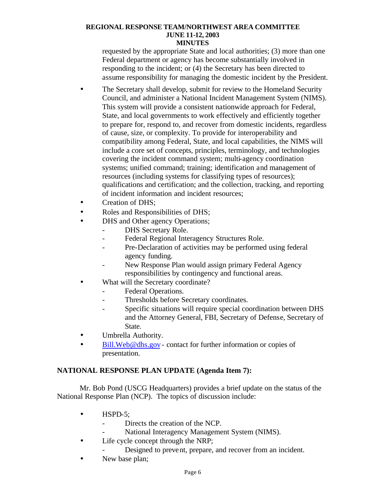requested by the appropriate State and local authorities; (3) more than one Federal department or agency has become substantially involved in responding to the incident; or (4) the Secretary has been directed to assume responsibility for managing the domestic incident by the President.

- The Secretary shall develop, submit for review to the Homeland Security Council, and administer a National Incident Management System (NIMS). This system will provide a consistent nationwide approach for Federal, State, and local governments to work effectively and efficiently together to prepare for, respond to, and recover from domestic incidents, regardless of cause, size, or complexity. To provide for interoperability and compatibility among Federal, State, and local capabilities, the NIMS will include a core set of concepts, principles, terminology, and technologies covering the incident command system; multi-agency coordination systems; unified command; training; identification and management of resources (including systems for classifying types of resources); qualifications and certification; and the collection, tracking, and reporting of incident information and incident resources;
- Creation of DHS:
- Roles and Responsibilities of DHS;
- DHS and Other agency Operations;
	- DHS Secretary Role.
	- Federal Regional Interagency Structures Role.
	- Pre-Declaration of activities may be performed using federal agency funding.
	- New Response Plan would assign primary Federal Agency responsibilities by contingency and functional areas.
- What will the Secretary coordinate?
	- Federal Operations.
	- Thresholds before Secretary coordinates.
	- Specific situations will require special coordination between DHS and the Attorney General, FBI, Secretary of Defense, Secretary of State.
- Umbrella Authority.
- Bill.Web@dhs.gov contact for further information or copies of presentation.

### **NATIONAL RESPONSE PLAN UPDATE (Agenda Item 7):**

Mr. Bob Pond (USCG Headquarters) provides a brief update on the status of the National Response Plan (NCP). The topics of discussion include:

- HSPD-5:
	- Directs the creation of the NCP.
		- National Interagency Management System (NIMS).
- Life cycle concept through the NRP;
	- Designed to prevent, prepare, and recover from an incident.
- New base plan;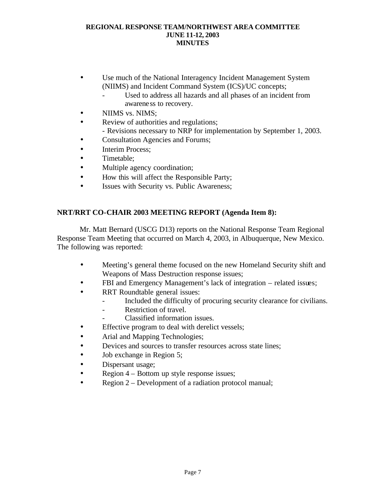- Use much of the National Interagency Incident Management System (NIIMS) and Incident Command System (ICS)/UC concepts;
	- Used to address all hazards and all phases of an incident from awareness to recovery.
- NIIMS vs. NIMS;
- Review of authorities and regulations; - Revisions necessary to NRP for implementation by September 1, 2003.
- Consultation Agencies and Forums;
- **Interim Process:**
- Timetable;
- Multiple agency coordination;
- How this will affect the Responsible Party;
- Issues with Security vs. Public Awareness;

# **NRT/RRT CO-CHAIR 2003 MEETING REPORT (Agenda Item 8):**

Mr. Matt Bernard (USCG D13) reports on the National Response Team Regional Response Team Meeting that occurred on March 4, 2003, in Albuquerque, New Mexico. The following was reported:

- Meeting's general theme focused on the new Homeland Security shift and Weapons of Mass Destruction response issues;
- FBI and Emergency Management's lack of integration related issues;
- RRT Roundtable general issues:
	- Included the difficulty of procuring security clearance for civilians.
	- Restriction of travel.
	- Classified information issues.
- Effective program to deal with derelict vessels;
- Arial and Mapping Technologies;
- Devices and sources to transfer resources across state lines;
- Job exchange in Region 5;
- Dispersant usage;
- Region 4 Bottom up style response issues;
- Region 2 Development of a radiation protocol manual;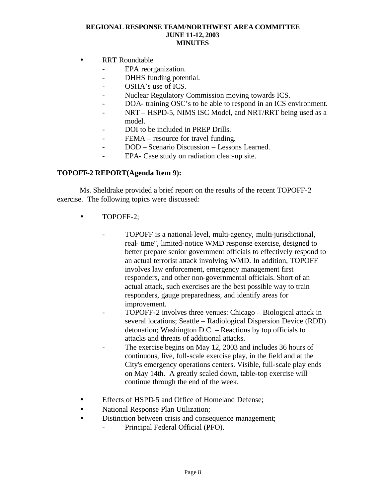- RRT Roundtable
	- EPA reorganization.
	- DHHS funding potential.
	- OSHA's use of ICS.
	- Nuclear Regulatory Commission moving towards ICS.
	- DOA- training OSC's to be able to respond in an ICS environment.
	- NRT HSPD-5, NIMS ISC Model, and NRT/RRT being used as a model.
	- DOI to be included in PREP Drills.
	- FEMA resource for travel funding.
	- DOD Scenario Discussion Lessons Learned.
	- EPA- Case study on radiation clean-up site.

### **TOPOFF-2 REPORT(Agenda Item 9):**

Ms. Sheldrake provided a brief report on the results of the recent TOPOFF-2 exercise. The following topics were discussed:

- TOPOFF-2;
	- TOPOFF is a national-level, multi-agency, multi-jurisdictional, real- time", limited-notice WMD response exercise, designed to better prepare senior government officials to effectively respond to an actual terrorist attack involving WMD. In addition, TOPOFF involves law enforcement, emergency management first responders, and other non-governmental officials. Short of an actual attack, such exercises are the best possible way to train responders, gauge preparedness, and identify areas for improvement.
	- TOPOFF-2 involves three venues: Chicago Biological attack in several locations; Seattle – Radiological Dispersion Device (RDD) detonation; Washington D.C. – Reactions by top officials to attacks and threats of additional attacks.
	- The exercise begins on May 12, 2003 and includes 36 hours of continuous, live, full-scale exercise play, in the field and at the City's emergency operations centers. Visible, full-scale play ends on May 14th. A greatly scaled down, table-top exercise will continue through the end of the week.
- Effects of HSPD-5 and Office of Homeland Defense;
- National Response Plan Utilization;
- Distinction between crisis and consequence management;
	- Principal Federal Official (PFO).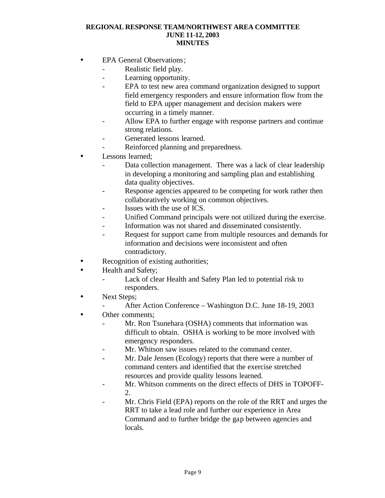- EPA General Observations;
	- Realistic field play.
	- Learning opportunity.
	- EPA to test new area command organization designed to support field emergency responders and ensure information flow from the field to EPA upper management and decision makers were occurring in a timely manner.
	- Allow EPA to further engage with response partners and continue strong relations.
	- Generated lessons learned.
	- Reinforced planning and preparedness.
- Lessons learned:
	- Data collection management. There was a lack of clear leadership in developing a monitoring and sampling plan and establishing data quality objectives.
	- Response agencies appeared to be competing for work rather then collaboratively working on common objectives.
	- Issues with the use of ICS.
	- Unified Command principals were not utilized during the exercise.
	- Information was not shared and disseminated consistently.
	- Request for support came from multiple resources and demands for information and decisions were inconsistent and often contradictory.
- Recognition of existing authorities;
- Health and Safety;
	- Lack of clear Health and Safety Plan led to potential risk to responders.
- Next Steps;
	- After Action Conference Washington D.C. June 18-19, 2003
- Other comments:
	- Mr. Ron Tsunehara (OSHA) comments that information was difficult to obtain. OSHA is working to be more involved with emergency responders.
	- Mr. Whitson saw issues related to the command center.
	- Mr. Dale Jensen (Ecology) reports that there were a number of command centers and identified that the exercise stretched resources and provide quality lessons learned.
	- Mr. Whitson comments on the direct effects of DHS in TOPOFF-2.
	- Mr. Chris Field (EPA) reports on the role of the RRT and urges the RRT to take a lead role and further our experience in Area Command and to further bridge the gap between agencies and locals.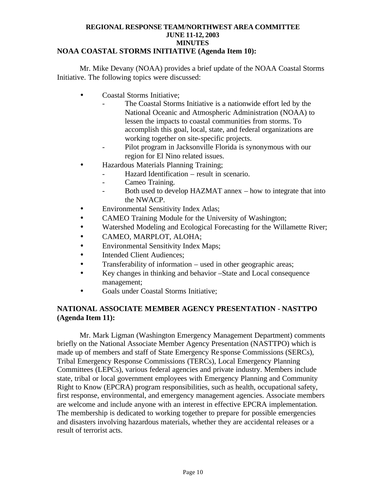### **NOAA COASTAL STORMS INITIATIVE (Agenda Item 10):**

Mr. Mike Devany (NOAA) provides a brief update of the NOAA Coastal Storms Initiative. The following topics were discussed:

- Coastal Storms Initiative;
	- The Coastal Storms Initiative is a nationwide effort led by the National Oceanic and Atmospheric Administration (NOAA) to lessen the impacts to coastal communities from storms. To accomplish this goal, local, state, and federal organizations are working together on site-specific projects.
	- Pilot program in Jacksonville Florida is synonymous with our region for El Nino related issues.
- Hazardous Materials Planning Training;
	- Hazard Identification result in scenario.
	- Cameo Training.
	- Both used to develop HAZMAT annex how to integrate that into the NWACP.
- Environmental Sensitivity Index Atlas;
- CAMEO Training Module for the University of Washington;
- Watershed Modeling and Ecological Forecasting for the Willamette River;
- CAMEO, MARPLOT, ALOHA;
- Environmental Sensitivity Index Maps;
- Intended Client Audiences;
- Transferability of information used in other geographic areas;
- Key changes in thinking and behavior –State and Local consequence management;
- Goals under Coastal Storms Initiative;

# **NATIONAL ASSOCIATE MEMBER AGENCY PRESENTATION - NASTTPO (Agenda Item 11):**

Mr. Mark Ligman (Washington Emergency Management Department) comments briefly on the National Associate Member Agency Presentation (NASTTPO) which is made up of members and staff of State Emergency Re sponse Commissions (SERCs), Tribal Emergency Response Commissions (TERCs), Local Emergency Planning Committees (LEPCs), various federal agencies and private industry. Members include state, tribal or local government employees with Emergency Planning and Community Right to Know (EPCRA) program responsibilities, such as health, occupational safety, first response, environmental, and emergency management agencies. Associate members are welcome and include anyone with an interest in effective EPCRA implementation. The membership is dedicated to working together to prepare for possible emergencies and disasters involving hazardous materials, whether they are accidental releases or a result of terrorist acts.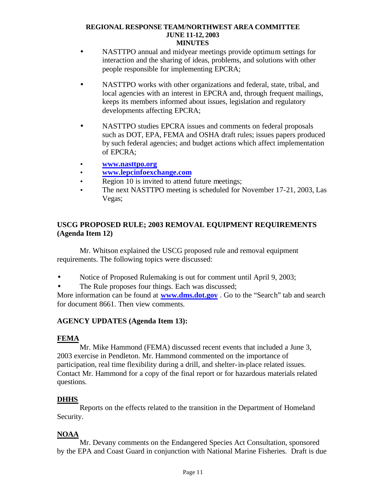- NASTTPO annual and midyear meetings provide optimum settings for interaction and the sharing of ideas, problems, and solutions with other people responsible for implementing EPCRA;
- NASTTPO works with other organizations and federal, state, tribal, and local agencies with an interest in EPCRA and, through frequent mailings, keeps its members informed about issues, legislation and regulatory developments affecting EPCRA;
- NASTTPO studies EPCRA issues and comments on federal proposals such as DOT, EPA, FEMA and OSHA draft rules; issues papers produced by such federal agencies; and budget actions which affect implementation of EPCRA;
- **· www.nasttpo.org**
- **· www.lepcinfoexchange.com**
- **·** Region 10 is invited to attend future meetings;
- **·** The next NASTTPO meeting is scheduled for November 17-21, 2003, Las Vegas;

# **USCG PROPOSED RULE; 2003 REMOVAL EQUIPMENT REQUIREMENTS (Agenda Item 12)**

Mr. Whitson explained the USCG proposed rule and removal equipment requirements. The following topics were discussed:

- Notice of Proposed Rulemaking is out for comment until April 9, 2003;
- The Rule proposes four things. Each was discussed;

More information can be found at **www.dms.dot.gov** . Go to the "Search" tab and search for document 8661. Then view comments.

# **AGENCY UPDATES (Agenda Item 13):**

### **FEMA**

Mr. Mike Hammond (FEMA) discussed recent events that included a June 3, 2003 exercise in Pendleton. Mr. Hammond commented on the importance of participation, real time flexibility during a drill, and shelter-in-place related issues. Contact Mr. Hammond for a copy of the final report or for hazardous materials related questions.

### **DHHS**

Reports on the effects related to the transition in the Department of Homeland Security.

# **NOAA**

Mr. Devany comments on the Endangered Species Act Consultation, sponsored by the EPA and Coast Guard in conjunction with National Marine Fisheries. Draft is due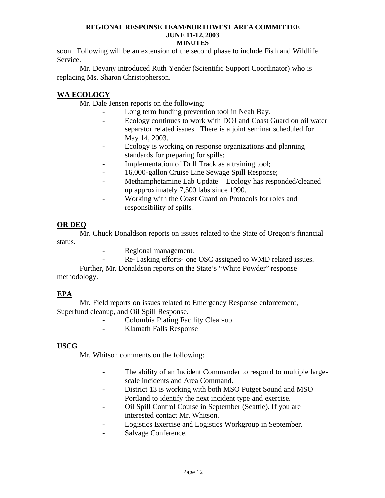soon. Following will be an extension of the second phase to include Fish and Wildlife Service.

Mr. Devany introduced Ruth Yender (Scientific Support Coordinator) who is replacing Ms. Sharon Christopherson.

# **WA ECOLOGY**

Mr. Dale Jensen reports on the following:

- Long term funding prevention tool in Neah Bay.
- Ecology continues to work with DOJ and Coast Guard on oil water separator related issues. There is a joint seminar scheduled for May 14, 2003.
- Ecology is working on response organizations and planning standards for preparing for spills;
- Implementation of Drill Track as a training tool;
- 16,000-gallon Cruise Line Sewage Spill Response;
- Methamphetamine Lab Update Ecology has responded/cleaned up approximately 7,500 labs since 1990.
- Working with the Coast Guard on Protocols for roles and responsibility of spills.

# **OR DEQ**

Mr. Chuck Donaldson reports on issues related to the State of Oregon's financial status.

- Regional management.
	- Re-Tasking efforts- one OSC assigned to WMD related issues.

Further, Mr. Donaldson reports on the State's "White Powder" response methodology.

# **EPA**

Mr. Field reports on issues related to Emergency Response enforcement, Superfund cleanup, and Oil Spill Response.

- Colombia Plating Facility Clean-up
- Klamath Falls Response

# **USCG**

Mr. Whitson comments on the following:

- The ability of an Incident Commander to respond to multiple largescale incidents and Area Command.
- District 13 is working with both MSO Putget Sound and MSO Portland to identify the next incident type and exercise.
- Oil Spill Control Course in September (Seattle). If you are interested contact Mr. Whitson.
- Logistics Exercise and Logistics Workgroup in September.
- Salvage Conference.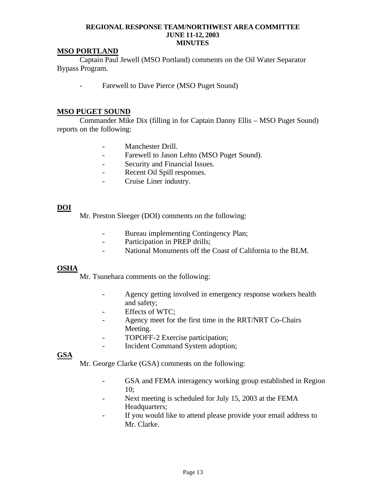### **MSO PORTLAND**

Captain Paul Jewell (MSO Portland) comments on the Oil Water Separator Bypass Program.

Farewell to Dave Pierce (MSO Puget Sound)

### **MSO PUGET SOUND**

Commander Mike Dix (filling in for Captain Danny Ellis – MSO Puget Sound) reports on the following:

- Manchester Drill.
- Farewell to Jason Lehto (MSO Puget Sound).
- Security and Financial Issues.
- Recent Oil Spill responses.
- Cruise Liner industry.

# **DOI**

Mr. Preston Sleeger (DOI) comments on the following:

- Bureau implementing Contingency Plan;
- Participation in PREP drills;
- National Monuments off the Coast of California to the BLM.

### **OSHA**

Mr. Tsunehara comments on the following:

- Agency getting involved in emergency response workers health and safety;
- Effects of WTC;
- Agency meet for the first time in the RRT/NRT Co-Chairs Meeting.
- TOPOFF-2 Exercise participation;
- Incident Command System adoption;

### **GSA**

Mr. George Clarke (GSA) comments on the following:

- GSA and FEMA interagency working group established in Region 10;
- Next meeting is scheduled for July 15, 2003 at the FEMA Headquarters;
- If you would like to attend please provide your email address to Mr. Clarke.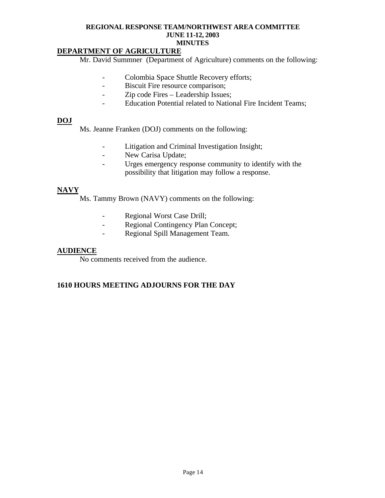### **DEPARTMENT OF AGRICULTURE**

Mr. David Summner (Department of Agriculture) comments on the following:

- Colombia Space Shuttle Recovery efforts;
- Biscuit Fire resource comparison;
- Zip code Fires Leadership Issues;
- Education Potential related to National Fire Incident Teams;

#### **DOJ**

Ms. Jeanne Franken (DOJ) comments on the following:

- Litigation and Criminal Investigation Insight;
- New Carisa Update;
- Urges emergency response community to identify with the possibility that litigation may follow a response.

# **NAVY**

Ms. Tammy Brown (NAVY) comments on the following:

- Regional Worst Case Drill;
- Regional Contingency Plan Concept;
- Regional Spill Management Team.

### **AUDIENCE**

No comments received from the audience.

### **1610 HOURS MEETING ADJOURNS FOR THE DAY**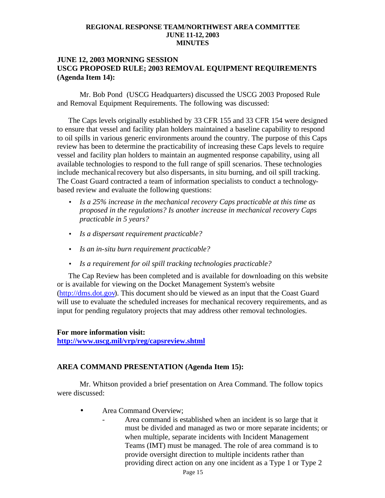### **JUNE 12, 2003 MORNING SESSION USCG PROPOSED RULE; 2003 REMOVAL EQUIPMENT REQUIREMENTS (Agenda Item 14):**

Mr. Bob Pond (USCG Headquarters) discussed the USCG 2003 Proposed Rule and Removal Equipment Requirements. The following was discussed:

The Caps levels originally established by 33 CFR 155 and 33 CFR 154 were designed to ensure that vessel and facility plan holders maintained a baseline capability to respond to oil spills in various generic environments around the country. The purpose of this Caps review has been to determine the practicability of increasing these Caps levels to require vessel and facility plan holders to maintain an augmented response capability, using all available technologies to respond to the full range of spill scenarios. These technologies include mechanical recovery but also dispersants, in situ burning, and oil spill tracking. The Coast Guard contracted a team of information specialists to conduct a technologybased review and evaluate the following questions:

- *Is a 25% increase in the mechanical recovery Caps practicable at this time as proposed in the regulations? Is another increase in mechanical recovery Caps practicable in 5 years?*
- *Is a dispersant requirement practicable?*
- *Is an in-situ burn requirement practicable?*
- *Is a requirement for oil spill tracking technologies practicable?*

The Cap Review has been completed and is available for downloading on this website or is available for viewing on the Docket Management System's website (http://dms.dot.gov). This document should be viewed as an input that the Coast Guard will use to evaluate the scheduled increases for mechanical recovery requirements, and as input for pending regulatory projects that may address other removal technologies.

#### **For more information visit:**

**http://www.uscg.mil/vrp/reg/capsreview.shtml**

### **AREA COMMAND PRESENTATION (Agenda Item 15):**

Mr. Whitson provided a brief presentation on Area Command. The follow topics were discussed:

- Area Command Overview;
	- Area command is established when an incident is so large that it must be divided and managed as two or more separate incidents; or when multiple, separate incidents with Incident Management Teams (IMT) must be managed. The role of area command is to provide oversight direction to multiple incidents rather than providing direct action on any one incident as a Type 1 or Type 2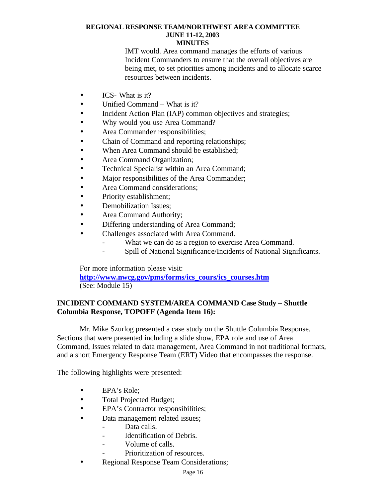IMT would. Area command manages the efforts of various Incident Commanders to ensure that the overall objectives are being met, to set priorities among incidents and to allocate scarce resources between incidents.

- **ICS** What is it?
- Unified Command What is it?
- Incident Action Plan (IAP) common objectives and strategies;
- Why would you use Area Command?
- Area Commander responsibilities;
- Chain of Command and reporting relationships;
- When Area Command should be established;
- Area Command Organization;
- Technical Specialist within an Area Command;
- Major responsibilities of the Area Commander;
- Area Command considerations:
- Priority establishment;
- Demobilization Issues;
- Area Command Authority;
- Differing understanding of Area Command;
- Challenges associated with Area Command.
	- What we can do as a region to exercise Area Command.
	- Spill of National Significance/Incidents of National Significants.

For more information please visit:

**http://www.nwcg.gov/pms/forms/ics\_cours/ics\_courses.htm** (See: Module 15)

# **INCIDENT COMMAND SYSTEM/AREA COMMAND Case Study – Shuttle Columbia Response, TOPOFF (Agenda Item 16):**

Mr. Mike Szurlog presented a case study on the Shuttle Columbia Response. Sections that were presented including a slide show, EPA role and use of Area Command, Issues related to data management, Area Command in not traditional formats, and a short Emergency Response Team (ERT) Video that encompasses the response.

The following highlights were presented:

- EPA's Role:
- Total Projected Budget;
- EPA's Contractor responsibilities;
- Data management related issues;
	- Data calls.
	- Identification of Debris.
	- Volume of calls.
	- Prioritization of resources.
- Regional Response Team Considerations;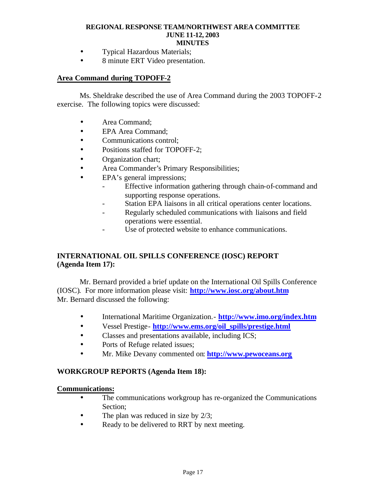- Typical Hazardous Materials;
- 8 minute ERT Video presentation.

# **Area Command during TOPOFF-2**

Ms. Sheldrake described the use of Area Command during the 2003 TOPOFF-2 exercise. The following topics were discussed:

- Area Command:
- EPA Area Command;
- Communications control:
- Positions staffed for TOPOFF-2:
- Organization chart;
- Area Commander's Primary Responsibilities;
- EPA's general impressions:
	- Effective information gathering through chain-of-command and supporting response operations.
	- Station EPA liaisons in all critical operations center locations.
	- Regularly scheduled communications with liaisons and field operations were essential.
	- Use of protected website to enhance communications.

# **INTERNATIONAL OIL SPILLS CONFERENCE (IOSC) REPORT (Agenda Item 17):**

Mr. Bernard provided a brief update on the International Oil Spills Conference (IOSC). For more information please visit: **http://www.iosc.org/about.htm** Mr. Bernard discussed the following:

- International Maritime Organization.- **http://www.imo.org/index.htm**
- Vessel Prestige- **http://www.ems.org/oil\_spills/prestige.html**
- Classes and presentations available, including ICS;
- Ports of Refuge related issues;
- Mr. Mike Devany commented on: **http://www.pewoceans.org**

### **WORKGROUP REPORTS (Agenda Item 18):**

#### **Communications:**

- The communications workgroup has re-organized the Communications Section;
- The plan was reduced in size by 2/3;
- Ready to be delivered to RRT by next meeting.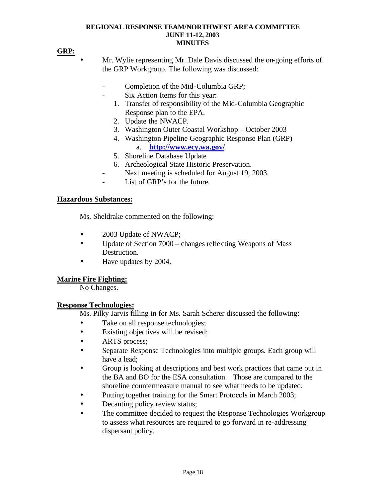# **GRP:**

- Mr. Wylie representing Mr. Dale Davis discussed the on-going efforts of the GRP Workgroup. The following was discussed:
	- Completion of the Mid-Columbia GRP;
	- Six Action Items for this year:
		- 1. Transfer of responsibility of the Mid-Columbia Geographic Response plan to the EPA.
		- 2. Update the NWACP.
		- 3. Washington Outer Coastal Workshop October 2003
		- 4. Washington Pipeline Geographic Response Plan (GRP) a. **http://www.ecy.wa.gov/**
		- 5. Shoreline Database Update
		- 6. Archeological State Historic Preservation.
		- Next meeting is scheduled for August 19, 2003.
	- List of GRP's for the future.

### **Hazardous Substances:**

Ms. Sheldrake commented on the following:

- 2003 Update of NWACP;
- Update of Section 7000 changes reflecting Weapons of Mass Destruction.
- Have updates by 2004.

### **Marine Fire Fighting:**

No Changes.

#### **Response Technologies:**

Ms. Pilky Jarvis filling in for Ms. Sarah Scherer discussed the following:

- Take on all response technologies;
- Existing objectives will be revised;
- **ARTS** process;
- Separate Response Technologies into multiple groups. Each group will have a lead;
- Group is looking at descriptions and best work practices that came out in the BA and BO for the ESA consultation. Those are compared to the shoreline countermeasure manual to see what needs to be updated.
- Putting together training for the Smart Protocols in March 2003;
- Decanting policy review status;
- The committee decided to request the Response Technologies Workgroup to assess what resources are required to go forward in re-addressing dispersant policy.